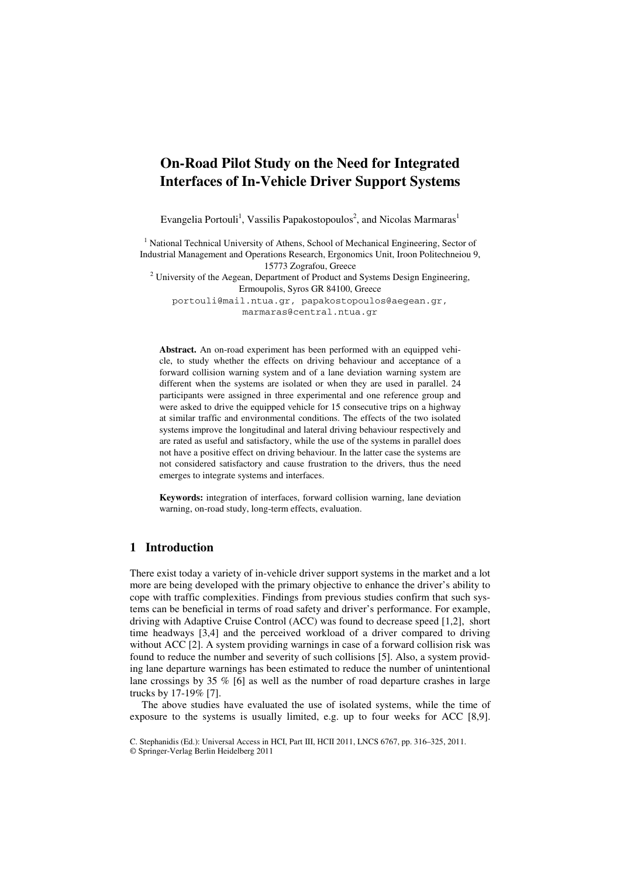# **On-Road Pilot Study on the Need for Integrated Interfaces of In-Vehicle Driver Support Systems**

Evangelia Portouli<sup>1</sup>, Vassilis Papakostopoulos<sup>2</sup>, and Nicolas Marmaras<sup>1</sup>

<sup>1</sup> National Technical University of Athens, School of Mechanical Engineering, Sector of Industrial Management and Operations Research, Ergonomics Unit, Iroon Politechneiou 9,

<sup>2</sup> University of the Aegean, Department of Product and Systems Design Engineering, Ermoupolis, Syros GR 84100, Greece

portouli@mail.ntua.gr, papakostopoulos@aegean.gr, marmaras@central.ntua.gr

**Abstract.** An on-road experiment has been performed with an equipped vehicle, to study whether the effects on driving behaviour and acceptance of a forward collision warning system and of a lane deviation warning system are different when the systems are isolated or when they are used in parallel. 24 participants were assigned in three experimental and one reference group and were asked to drive the equipped vehicle for 15 consecutive trips on a highway at similar traffic and environmental conditions. The effects of the two isolated systems improve the longitudinal and lateral driving behaviour respectively and are rated as useful and satisfactory, while the use of the systems in parallel does not have a positive effect on driving behaviour. In the latter case the systems are not considered satisfactory and cause frustration to the drivers, thus the need emerges to integrate systems and interfaces.

**Keywords:** integration of interfaces, forward collision warning, lane deviation warning, on-road study, long-term effects, evaluation.

# **1 Introduction**

There exist today a variety of in-vehicle driver support systems in the market and a lot more are being developed with the primary objective to enhance the driver's ability to cope with traffic complexities. Findings from previous studies confirm that such systems can be beneficial in terms of road safety and driver's performance. For example, driving with Adaptive Cruise Control (ACC) was found to decrease speed [1,2], short time headways [3,4] and the perceived workload of a driver compared to driving without ACC [2]. A system providing warnings in case of a forward collision risk was found to reduce the number and severity of such collisions [5]. Also, a system providing lane departure warnings has been estimated to reduce the number of unintentional lane crossings by 35 % [6] as well as the number of road departure crashes in large trucks by 17-19% [7].

The above studies have evaluated the use of isolated systems, while the time of exposure to the systems is usually limited, e.g. up to four weeks for ACC [8,9].

C. Stephanidis (Ed.): Universal Access in HCI, Part III, HCII 2011, LNCS 6767, pp. 316–325, 2011.

<sup>©</sup> Springer-Verlag Berlin Heidelberg 2011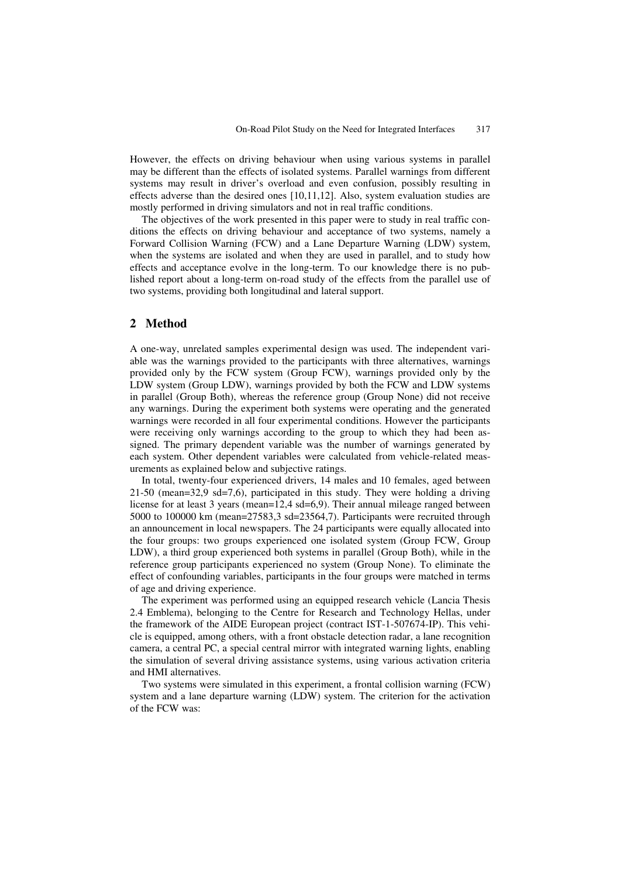However, the effects on driving behaviour when using various systems in parallel may be different than the effects of isolated systems. Parallel warnings from different systems may result in driver's overload and even confusion, possibly resulting in effects adverse than the desired ones [10,11,12]. Also, system evaluation studies are mostly performed in driving simulators and not in real traffic conditions.

The objectives of the work presented in this paper were to study in real traffic conditions the effects on driving behaviour and acceptance of two systems, namely a Forward Collision Warning (FCW) and a Lane Departure Warning (LDW) system, when the systems are isolated and when they are used in parallel, and to study how effects and acceptance evolve in the long-term. To our knowledge there is no published report about a long-term on-road study of the effects from the parallel use of two systems, providing both longitudinal and lateral support.

## **2 Method**

A one-way, unrelated samples experimental design was used. The independent variable was the warnings provided to the participants with three alternatives, warnings provided only by the FCW system (Group FCW), warnings provided only by the LDW system (Group LDW), warnings provided by both the FCW and LDW systems in parallel (Group Both), whereas the reference group (Group None) did not receive any warnings. During the experiment both systems were operating and the generated warnings were recorded in all four experimental conditions. However the participants were receiving only warnings according to the group to which they had been assigned. The primary dependent variable was the number of warnings generated by each system. Other dependent variables were calculated from vehicle-related measurements as explained below and subjective ratings.

In total, twenty-four experienced drivers, 14 males and 10 females, aged between 21-50 (mean=32,9 sd=7,6), participated in this study. They were holding a driving license for at least 3 years (mean=12,4 sd=6,9). Their annual mileage ranged between 5000 to 100000 km (mean=27583,3 sd=23564,7). Participants were recruited through an announcement in local newspapers. The 24 participants were equally allocated into the four groups: two groups experienced one isolated system (Group FCW, Group LDW), a third group experienced both systems in parallel (Group Both), while in the reference group participants experienced no system (Group None). To eliminate the effect of confounding variables, participants in the four groups were matched in terms of age and driving experience.

The experiment was performed using an equipped research vehicle (Lancia Thesis 2.4 Emblema), belonging to the Centre for Research and Technology Hellas, under the framework of the AIDE European project (contract IST-1-507674-IP). This vehicle is equipped, among others, with a front obstacle detection radar, a lane recognition camera, a central PC, a special central mirror with integrated warning lights, enabling the simulation of several driving assistance systems, using various activation criteria and HMI alternatives.

Two systems were simulated in this experiment, a frontal collision warning (FCW) system and a lane departure warning (LDW) system. The criterion for the activation of the FCW was: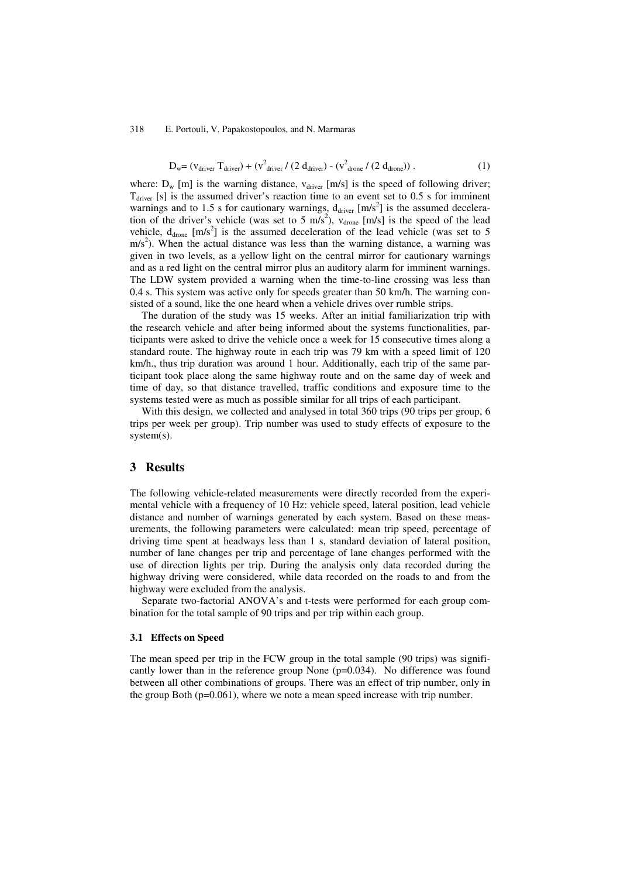#### 318 E. Portouli, V. Papakostopoulos, and N. Marmaras

$$
D_w = (v_{\text{driver}} T_{\text{driver}}) + (v_{\text{driver}}^2 / (2 d_{\text{driver}}) - (v_{\text{drone}}^2 / (2 d_{\text{drone}})).
$$
 (1)

where:  $D_w$  [m] is the warning distance,  $v_{\text{driver}}$  [m/s] is the speed of following driver;  $T_{\text{diver}}$  [s] is the assumed driver's reaction time to an event set to 0.5 s for imminent warnings and to 1.5 s for cautionary warnings,  $d_{\text{driver}}$  [m/s<sup>2</sup>] is the assumed deceleration of the driver's vehicle (was set to 5 m/s<sup>2</sup>),  $v_{\text{drone}}$  [m/s] is the speed of the lead vehicle,  $d_{\text{drone}}$  [m/s<sup>2</sup>] is the assumed deceleration of the lead vehicle (was set to 5  $\text{m/s}^2$ ). When the actual distance was less than the warning distance, a warning was given in two levels, as a yellow light on the central mirror for cautionary warnings and as a red light on the central mirror plus an auditory alarm for imminent warnings. The LDW system provided a warning when the time-to-line crossing was less than 0.4 s. This system was active only for speeds greater than 50 km/h. The warning consisted of a sound, like the one heard when a vehicle drives over rumble strips.

The duration of the study was 15 weeks. After an initial familiarization trip with the research vehicle and after being informed about the systems functionalities, participants were asked to drive the vehicle once a week for 15 consecutive times along a standard route. The highway route in each trip was 79 km with a speed limit of 120 km/h., thus trip duration was around 1 hour. Additionally, each trip of the same participant took place along the same highway route and on the same day of week and time of day, so that distance travelled, traffic conditions and exposure time to the systems tested were as much as possible similar for all trips of each participant.

With this design, we collected and analysed in total 360 trips (90 trips per group, 6 trips per week per group). Trip number was used to study effects of exposure to the system(s).

#### **3 Results**

The following vehicle-related measurements were directly recorded from the experimental vehicle with a frequency of 10 Hz: vehicle speed, lateral position, lead vehicle distance and number of warnings generated by each system. Based on these measurements, the following parameters were calculated: mean trip speed, percentage of driving time spent at headways less than 1 s, standard deviation of lateral position, number of lane changes per trip and percentage of lane changes performed with the use of direction lights per trip. During the analysis only data recorded during the highway driving were considered, while data recorded on the roads to and from the highway were excluded from the analysis.

Separate two-factorial ANOVA's and t-tests were performed for each group combination for the total sample of 90 trips and per trip within each group.

#### **3.1 Effects on Speed**

The mean speed per trip in the FCW group in the total sample (90 trips) was significantly lower than in the reference group None (p=0.034). No difference was found between all other combinations of groups. There was an effect of trip number, only in the group Both (p=0.061), where we note a mean speed increase with trip number.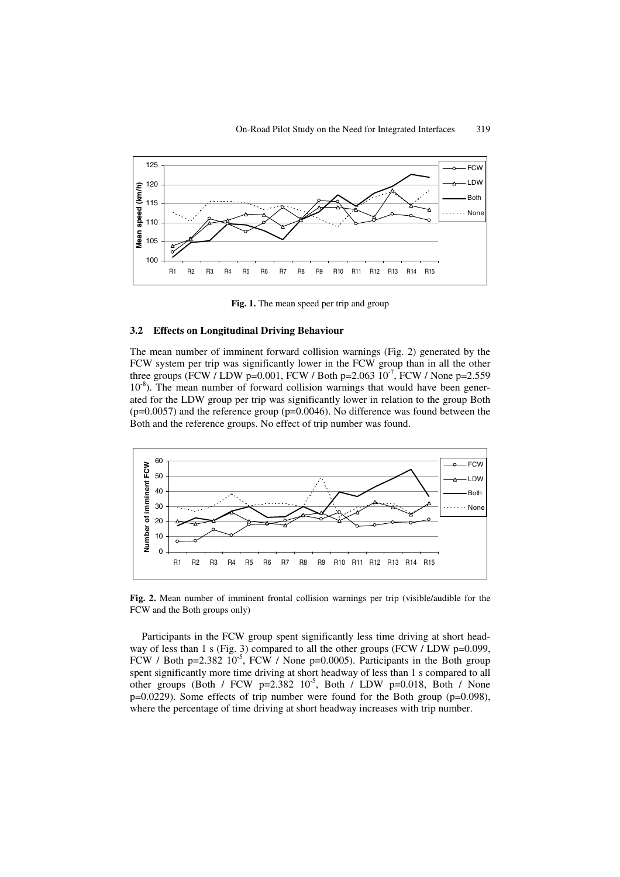

**Fig. 1.** The mean speed per trip and group

## **3.2 Effects on Longitudinal Driving Behaviour**

The mean number of imminent forward collision warnings (Fig. 2) generated by the FCW system per trip was significantly lower in the FCW group than in all the other three groups (FCW / LDW p=0.001, FCW / Both p=2.063  $10^{-7}$ , FCW / None p=2.559  $10^{-8}$ ). The mean number of forward collision warnings that would have been generated for the LDW group per trip was significantly lower in relation to the group Both  $(p=0.0057)$  and the reference group ( $p=0.0046$ ). No difference was found between the Both and the reference groups. No effect of trip number was found.



**Fig. 2.** Mean number of imminent frontal collision warnings per trip (visible/audible for the FCW and the Both groups only)

Participants in the FCW group spent significantly less time driving at short headway of less than 1 s (Fig. 3) compared to all the other groups (FCW / LDW p=0.099, FCW / Both p=2.382  $10^{-5}$ , FCW / None p=0.0005). Participants in the Both group spent significantly more time driving at short headway of less than 1 s compared to all other groups (Both / FCW p= $2.382 \, 10^{-5}$ , Both / LDW p=0.018, Both / None p=0.0229). Some effects of trip number were found for the Both group (p=0.098), where the percentage of time driving at short headway increases with trip number.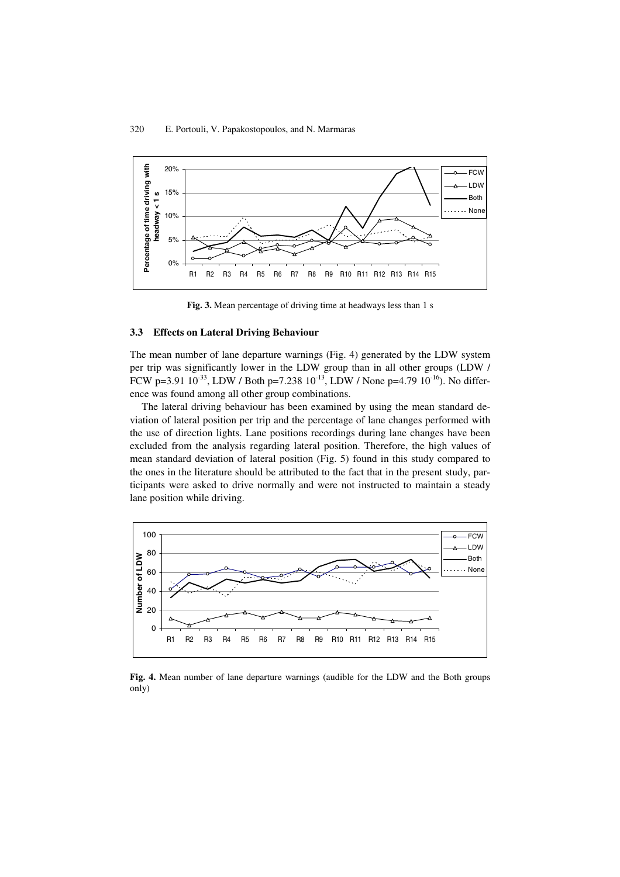

**Fig. 3.** Mean percentage of driving time at headways less than 1 s

#### **3.3 Effects on Lateral Driving Behaviour**

The mean number of lane departure warnings (Fig. 4) generated by the LDW system per trip was significantly lower in the LDW group than in all other groups (LDW / FCW p=3.91 10<sup>-33</sup>, LDW / Both p=7.238 10<sup>-13</sup>, LDW / None p=4.79 10<sup>-16</sup>). No difference was found among all other group combinations.

The lateral driving behaviour has been examined by using the mean standard deviation of lateral position per trip and the percentage of lane changes performed with the use of direction lights. Lane positions recordings during lane changes have been excluded from the analysis regarding lateral position. Therefore, the high values of mean standard deviation of lateral position (Fig. 5) found in this study compared to the ones in the literature should be attributed to the fact that in the present study, participants were asked to drive normally and were not instructed to maintain a steady lane position while driving.



**Fig. 4.** Mean number of lane departure warnings (audible for the LDW and the Both groups only)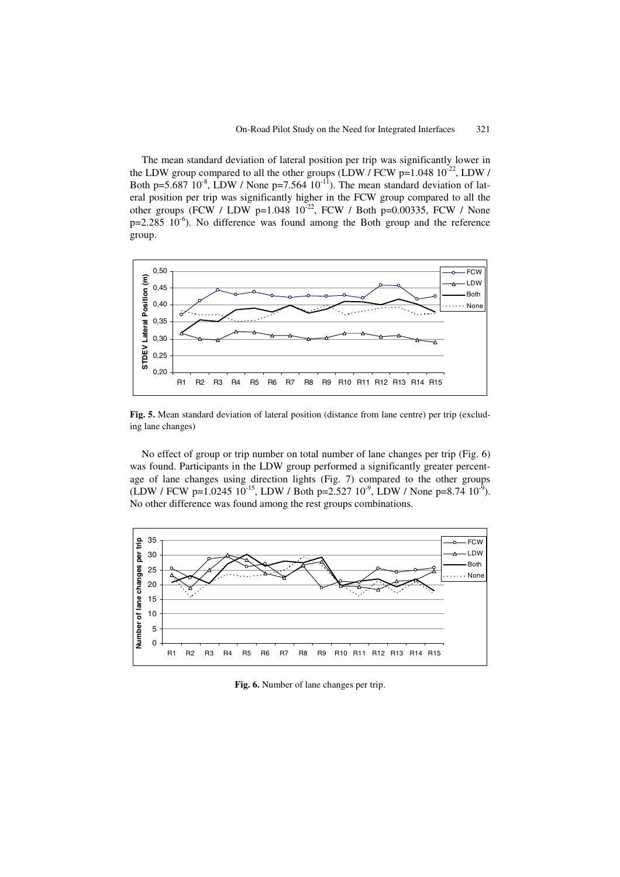The mean standard deviation of lateral position per trip was significantly lower in the LDW group compared to all the other groups (LDW / FCW  $p=1.048 \, 10^{-22}$ , LDW / Both p=5.687  $10^{-8}$ , LDW / None p=7.564  $10^{-11}$ ). The mean standard deviation of lateral position per trip was significantly higher in the FCW group compared to all the other groups (FCW / LDW p=1.048  $10^{-22}$ , FCW / Both p=0.00335, FCW / None  $p=2.285 \, 10^{-6}$ ). No difference was found among the Both group and the reference group.



**Fig. 5.** Mean standard deviation of lateral position (distance from lane centre) per trip (excluding lane changes)

No effect of group or trip number on total number of lane changes per trip (Fig. 6) was found. Participants in the LDW group performed a significantly greater percentage of lane changes using direction lights (Fig. 7) compared to the other groups (LDW / FCW p=1.0245  $10^{-15}$ , LDW / Both p=2.527  $10^{-9}$ , LDW / None p=8.74  $10^{-9}$ ). No other difference was found among the rest groups combinations.



**Fig. 6.** Number of lane changes per trip.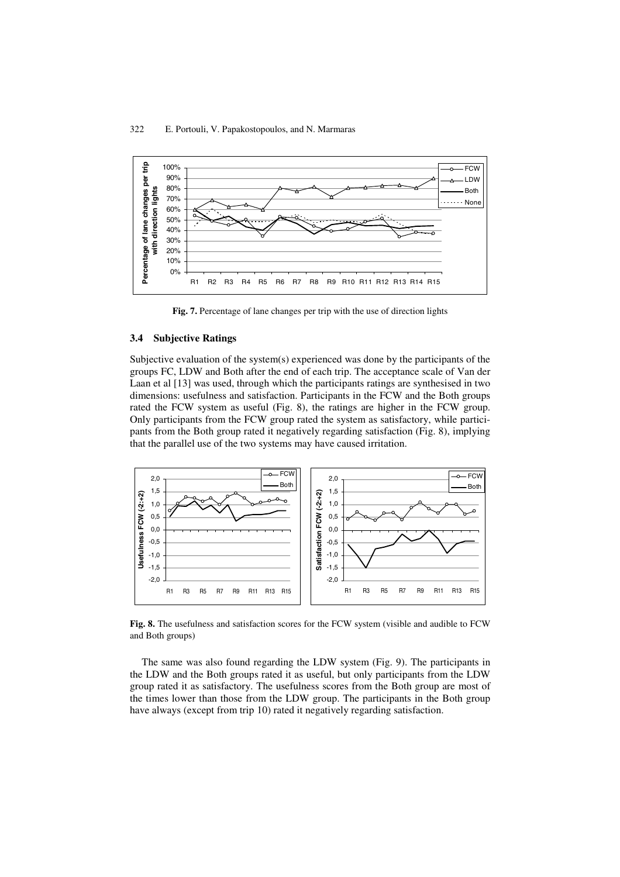

**Fig. 7.** Percentage of lane changes per trip with the use of direction lights

## **3.4 Subjective Ratings**

Subjective evaluation of the system(s) experienced was done by the participants of the groups FC, LDW and Both after the end of each trip. The acceptance scale of Van der Laan et al [13] was used, through which the participants ratings are synthesised in two dimensions: usefulness and satisfaction. Participants in the FCW and the Both groups rated the FCW system as useful (Fig. 8), the ratings are higher in the FCW group. Only participants from the FCW group rated the system as satisfactory, while participants from the Both group rated it negatively regarding satisfaction (Fig. 8), implying that the parallel use of the two systems may have caused irritation.



**Fig. 8.** The usefulness and satisfaction scores for the FCW system (visible and audible to FCW and Both groups)

The same was also found regarding the LDW system (Fig. 9). The participants in the LDW and the Both groups rated it as useful, but only participants from the LDW group rated it as satisfactory. The usefulness scores from the Both group are most of the times lower than those from the LDW group. The participants in the Both group have always (except from trip 10) rated it negatively regarding satisfaction.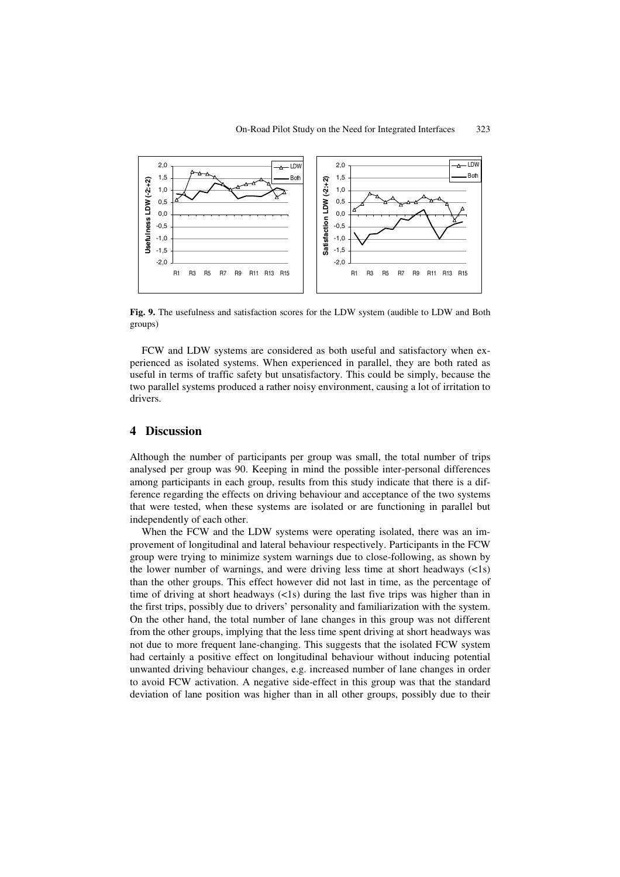

**Fig. 9.** The usefulness and satisfaction scores for the LDW system (audible to LDW and Both groups)

FCW and LDW systems are considered as both useful and satisfactory when experienced as isolated systems. When experienced in parallel, they are both rated as useful in terms of traffic safety but unsatisfactory. This could be simply, because the two parallel systems produced a rather noisy environment, causing a lot of irritation to drivers.

## **4 Discussion**

Although the number of participants per group was small, the total number of trips analysed per group was 90. Keeping in mind the possible inter-personal differences among participants in each group, results from this study indicate that there is a difference regarding the effects on driving behaviour and acceptance of the two systems that were tested, when these systems are isolated or are functioning in parallel but independently of each other.

When the FCW and the LDW systems were operating isolated, there was an improvement of longitudinal and lateral behaviour respectively. Participants in the FCW group were trying to minimize system warnings due to close-following, as shown by the lower number of warnings, and were driving less time at short headways  $\left\langle \langle 1 \rangle \right\rangle$ than the other groups. This effect however did not last in time, as the percentage of time of driving at short headways (<1s) during the last five trips was higher than in the first trips, possibly due to drivers' personality and familiarization with the system. On the other hand, the total number of lane changes in this group was not different from the other groups, implying that the less time spent driving at short headways was not due to more frequent lane-changing. This suggests that the isolated FCW system had certainly a positive effect on longitudinal behaviour without inducing potential unwanted driving behaviour changes, e.g. increased number of lane changes in order to avoid FCW activation. A negative side-effect in this group was that the standard deviation of lane position was higher than in all other groups, possibly due to their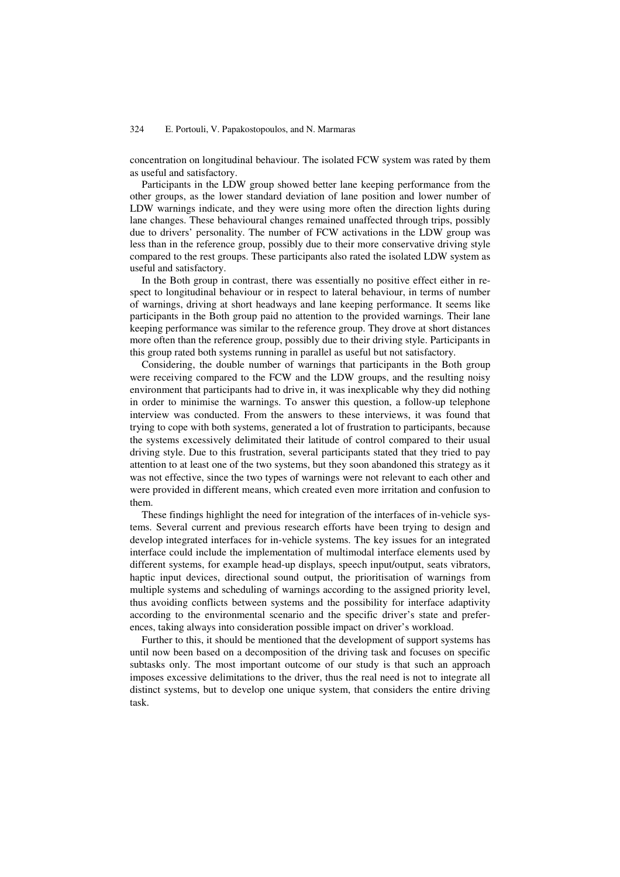#### 324 E. Portouli, V. Papakostopoulos, and N. Marmaras

concentration on longitudinal behaviour. The isolated FCW system was rated by them as useful and satisfactory.

Participants in the LDW group showed better lane keeping performance from the other groups, as the lower standard deviation of lane position and lower number of LDW warnings indicate, and they were using more often the direction lights during lane changes. These behavioural changes remained unaffected through trips, possibly due to drivers' personality. The number of FCW activations in the LDW group was less than in the reference group, possibly due to their more conservative driving style compared to the rest groups. These participants also rated the isolated LDW system as useful and satisfactory.

In the Both group in contrast, there was essentially no positive effect either in respect to longitudinal behaviour or in respect to lateral behaviour, in terms of number of warnings, driving at short headways and lane keeping performance. It seems like participants in the Both group paid no attention to the provided warnings. Their lane keeping performance was similar to the reference group. They drove at short distances more often than the reference group, possibly due to their driving style. Participants in this group rated both systems running in parallel as useful but not satisfactory.

Considering, the double number of warnings that participants in the Both group were receiving compared to the FCW and the LDW groups, and the resulting noisy environment that participants had to drive in, it was inexplicable why they did nothing in order to minimise the warnings. To answer this question, a follow-up telephone interview was conducted. From the answers to these interviews, it was found that trying to cope with both systems, generated a lot of frustration to participants, because the systems excessively delimitated their latitude of control compared to their usual driving style. Due to this frustration, several participants stated that they tried to pay attention to at least one of the two systems, but they soon abandoned this strategy as it was not effective, since the two types of warnings were not relevant to each other and were provided in different means, which created even more irritation and confusion to them.

These findings highlight the need for integration of the interfaces of in-vehicle systems. Several current and previous research efforts have been trying to design and develop integrated interfaces for in-vehicle systems. The key issues for an integrated interface could include the implementation of multimodal interface elements used by different systems, for example head-up displays, speech input/output, seats vibrators, haptic input devices, directional sound output, the prioritisation of warnings from multiple systems and scheduling of warnings according to the assigned priority level, thus avoiding conflicts between systems and the possibility for interface adaptivity according to the environmental scenario and the specific driver's state and preferences, taking always into consideration possible impact on driver's workload.

Further to this, it should be mentioned that the development of support systems has until now been based on a decomposition of the driving task and focuses on specific subtasks only. The most important outcome of our study is that such an approach imposes excessive delimitations to the driver, thus the real need is not to integrate all distinct systems, but to develop one unique system, that considers the entire driving task.